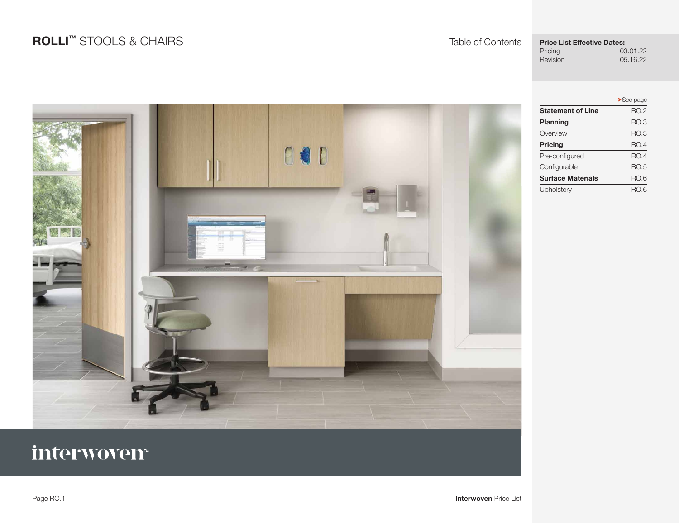## **ROLLI™** STOOLS & CHAIRS Table of Contents

## **Price List Effective Dates:**<br>Pricing 03

Pricing 03.01.22<br>Revision 05.16.22 05.16.22

|                          | $\blacktriangleright$ See page |
|--------------------------|--------------------------------|
| <b>Statement of Line</b> | <b>RO.2</b>                    |
| Planning                 | RO.3                           |
| Overview                 | RO.3                           |
| <b>Pricing</b>           | RO.4                           |
| Pre-configured           | RO.4                           |
| Configurable             | <b>RO.5</b>                    |
| <b>Surface Materials</b> | RO.6                           |
| Upholstery               | RO.6                           |



# interwoven<sup>®</sup>

Page RO.1 **Interwoven** Price List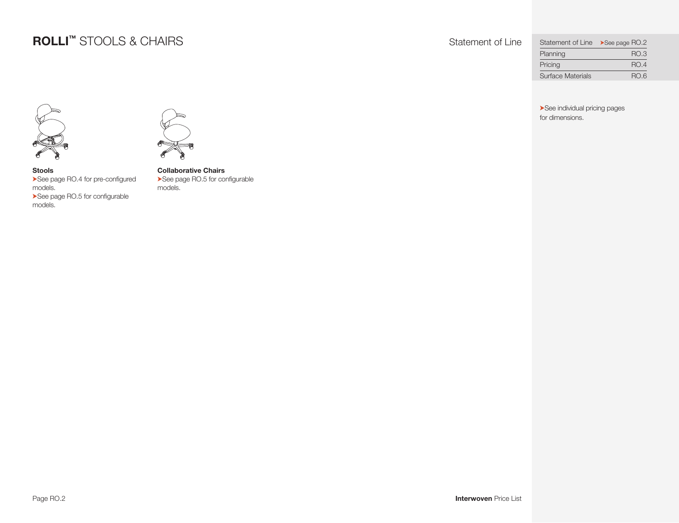## **ROLLI™** STOOLS & CHAIRS Statement of Line

| Statement of Line >See page RO.2 |             |
|----------------------------------|-------------|
| Planning                         | RO.3        |
| Pricing                          | <b>RO.4</b> |
| <b>Surface Materials</b>         | RO.6        |

<span id="page-1-0"></span>➤See individual pricing pages for dimensions.



**Stools**  ▶See page RO.4 for pre-configured models. ▶See page RO.5 for configurable models.

 $\mathbb{P}$ 

**Collaborative Chairs**  ▶See page RO.5 for configurable models.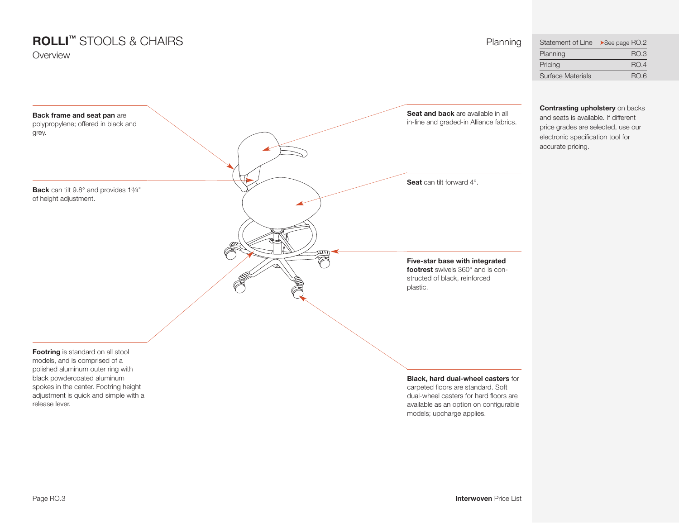## **ROLLI™** STOOLS & CHAIRS Planning

Overview

<span id="page-2-0"></span>

| Statement of Line >See page RO.2 |             |
|----------------------------------|-------------|
| Planning                         | RO.3        |
| Pricing                          | <b>RO.4</b> |
| <b>Surface Materials</b>         | RO.6        |

**Contrasting upholstery** on backs and seats is available. if different price grades are selected, use our electronic specification tool for accurate pricing.

**Seat and back** are available in all **Back frame and seat pan** are in-line and graded-in Alliance fabrics. polypropylene; offered in black and grey. **Seat** can tilt forward 4°. **Back** can tilt 9.8° and provides 13⁄4" of height adjustment. ŒЩ  $\overline{\mathbb{C}}$ **Five-star base with integrated footrest** swivels 360° and is con-R structed of black, reinforced plastic.**Footring** is standard on all stool models, and is comprised of a polished aluminum outer ring with black powdercoated aluminum **Black, hard dual-wheel casters** for spokes in the center. Footring height carpeted floors are standard. Soft adjustment is quick and simple with a dual-wheel casters for hard floors are release lever. available as an option on configurable models; upcharge applies.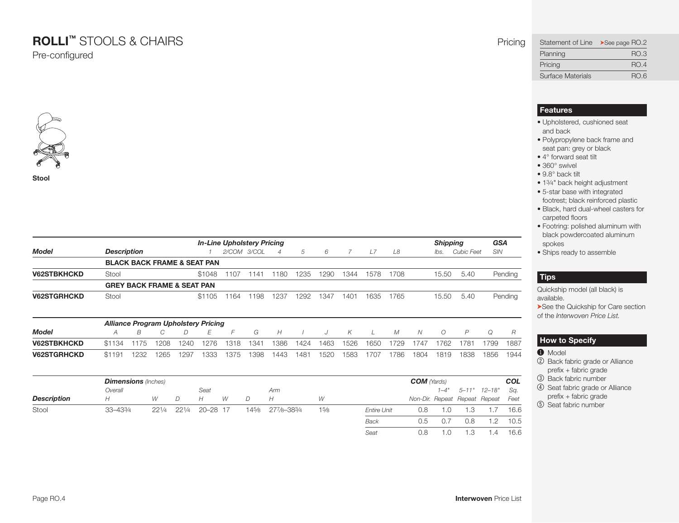## **ROLLI™** STOOLS & CHAIRS Pricing

Pre-configured



**Stool**

|                    |                                        | <b>Shipping</b> | <b>GSA</b> |             |                |      |      |      |      |      |       |            |         |
|--------------------|----------------------------------------|-----------------|------------|-------------|----------------|------|------|------|------|------|-------|------------|---------|
| Model              | <b>Description</b>                     |                 |            | 2/COM 3/COL | $\overline{4}$ | .5   | 6    |      |      | L8   | lbs.  | Cubic Feet | SIN     |
|                    | <b>BLACK BACK FRAME &amp; SEAT PAN</b> |                 |            |             |                |      |      |      |      |      |       |            |         |
| <b>V62STBKHCKD</b> | Stool                                  | \$1048          | 1107       | 1141        | 1180           | 1235 | 1290 | 1344 | 1578 | 1708 | 15.50 | 5.40       | Pending |
|                    | <b>GREY BACK FRAME &amp; SEAT PAN</b>  |                 |            |             |                |      |      |      |      |      |       |            |         |
| <b>V62STGRHCKD</b> | Stool                                  | \$1105          | 1164       | 1198        | 1237           | 1292 | 1347 | 1401 | 1635 | 1765 | 15.50 | 5.40       | Pending |

| <b>Alliance Program Upholstery Pricing</b> |        |      |      |      |      |      |      |      |      |      |      |      |      |      |      |      |       |      |
|--------------------------------------------|--------|------|------|------|------|------|------|------|------|------|------|------|------|------|------|------|-------|------|
| <b>Model</b>                               |        |      |      |      |      |      | G    | H    |      |      | K.   |      | M    |      |      |      |       |      |
| <b>V62STBKHCKD</b>                         | \$1134 | 1175 | 1208 | 1240 | 1276 | 1318 | 1341 | 1386 | 1424 | 1463 | 1526 | 1650 | 1729 | 1747 | 1762 | 1781 | 799   | 1887 |
| <b>V62STGRHCKD</b>                         | \$1191 | 1232 | 1265 | 1297 | 1333 | 1375 | 1398 | 1443 | 1481 | 1520 | 1583 | 1707 | 786  | 1804 | 1819 | 1838 | 1856. | 1944 |

|                    | <b>Dimensions</b> (Inches) |       |       |              |   |       |             |      |                    | <b>COM</b> (Yards) |     |                         |                                    | <b>COL</b> |
|--------------------|----------------------------|-------|-------|--------------|---|-------|-------------|------|--------------------|--------------------|-----|-------------------------|------------------------------------|------------|
|                    | Overall                    |       |       | Seat         |   |       | Arm         |      |                    |                    |     | $1-4"$ $5-11"$ $12-18"$ |                                    | Sq.        |
| <b>Description</b> | Н                          | W     | D     | Н            | W | D     | Н           | W    |                    |                    |     |                         | Non-Dir. Repeat Repeat Repeat Feet |            |
| Stool              | 33-433/4                   | 221/4 | 221/4 | $20 - 28$ 17 |   | 145⁄8 | 277/8-383/4 | 15/8 | <b>Entire Unit</b> | 0.8                | 1.0 |                         |                                    | 16.6       |
|                    |                            |       |       |              |   |       |             |      | <b>Back</b>        | 0.5                | 0.7 | 0.8                     |                                    | 10.5       |
|                    |                            |       |       |              |   |       |             |      | Seat               | 0.8                | .0  |                         | . . 4                              | 16.6       |

### <span id="page-3-0"></span>Statement of Line ▶See page RO.2 Planning RO.3 Pricing RO.4 Surface Materials **RO.6**

#### **Features**

- Upholstered, cushioned seat and back
- Polypropylene back frame and seat pan: grey or black
- 4° forward seat tilt
- 360° swivel
- 9.8° back tilt
- 13⁄4" back height adjustment
- 5-star base with integrated footrest; black reinforced plastic
- Black, hard dual-wheel casters for carpeted floors
- Footring: polished aluminum with black powdercoated aluminum spokes
- Ships ready to assemble

### **Tips**

Quickship model (all black) is available.

➤See the Quickship for Care section of the *Interwoven Price List.*

### **How to Specify**

- $\bullet$  Model
- 2 Back fabric grade or alliance prefix + fabric grade
- 3 Back fabric number
- 4 Seat fabric grade or alliance prefix + fabric grade
- 5 Seat fabric number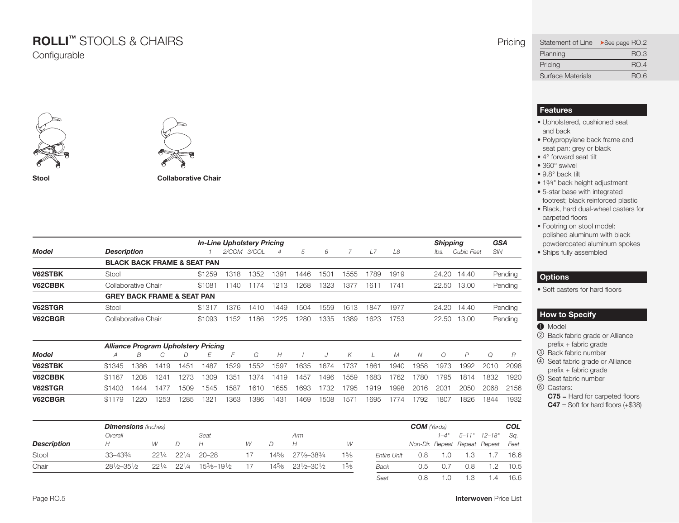# **ROLLI™** STOOLS & CHAIRS Pricing

**Configurable** 





**Stool Collaborative Chair**

|              |                                            |        | <b>In-Line Upholstery Pricing</b> |      |      |      |      |      |      |      | <b>Shipping</b> |                   | <b>GSA</b> |
|--------------|--------------------------------------------|--------|-----------------------------------|------|------|------|------|------|------|------|-----------------|-------------------|------------|
| <b>Model</b> | <b>Description</b>                         |        | 2/COM 3/COL                       |      | 4    | 5    | 6    |      | L7   | L8   | lbs.            | <b>Cubic Feet</b> | <b>SIN</b> |
|              | <b>BLACK BACK FRAME &amp; SEAT PAN</b>     |        |                                   |      |      |      |      |      |      |      |                 |                   |            |
| V62STBK      | Stool                                      | \$1259 | 1318                              | 1352 | 1391 | 1446 | 1501 | 1555 | 1789 | 1919 |                 | 24.20 14.40       | Pending    |
| V62CBBK      | Collaborative Chair                        | \$1081 | 1140                              | 1174 | 1213 | 1268 | 1323 | 1377 | 1611 | 1741 | 22.50           | 13.00             | Pending    |
|              | <b>GREY BACK FRAME &amp; SEAT PAN</b>      |        |                                   |      |      |      |      |      |      |      |                 |                   |            |
| V62STGR      | Stool                                      | \$1317 | 1376                              | 1410 | 1449 | 1504 | 1559 | 1613 | 1847 | 1977 |                 | 24.20 14.40       | Pending    |
| V62CBGR      | Collaborative Chair                        | \$1093 | 1152                              | 1186 | 1225 | 1280 | 1335 | 1389 | 1623 | 1753 |                 | 22.50 13.00       | Pending    |
|              | <b>Alliance Program Upholstery Pricing</b> |        |                                   |      |      |      |      |      |      |      |                 |                   |            |

|         |        | -    |      |        |      | -    |      |      |      |      |      |      |      |      |      |      |      |      |
|---------|--------|------|------|--------|------|------|------|------|------|------|------|------|------|------|------|------|------|------|
| Model   |        |      |      |        |      |      | G    | Н    |      |      | К    |      | М    |      |      | D    |      |      |
| V62STBK | \$1345 | 1386 | 419  | $45 -$ | 1487 | 1529 | 1552 | 1597 | 1635 | 1674 | 1737 | 1861 | 1940 | 1958 | 1973 | 1992 | 2010 | 2098 |
| V62CBBK | \$1167 | 1208 | 1241 | 273    | 1309 | 1351 | 1374 | 1419 | 1457 | 1496 | 1559 | 1683 | 762  | '780 | 1795 | 1814 | 1832 | 1920 |
| V62STGR | \$1403 | 1444 | 1477 | 1509   | 1545 | 1587 | 1610 | 1655 | 1693 | 1732 | 1795 | 1919 | 1998 | 2016 | 2031 | 2050 | 2068 | 2156 |
| V62CBGR | \$1179 | 1220 | '253 | 1285   | 1321 | 1363 | 386  | 1431 | 1469 | 1508 | 157  | 1695 | (14) | 792  | 1807 | 1826 | 1844 | 1932 |

|                    | <b>Dimensions</b> (Inches) |            |            |             |    |       |                               |      |                    |     |    |     |                                    | <b>COL</b> |
|--------------------|----------------------------|------------|------------|-------------|----|-------|-------------------------------|------|--------------------|-----|----|-----|------------------------------------|------------|
|                    | Overall                    |            |            | Seat        |    |       | Arm                           |      |                    |     |    |     | $1-4"$ 5-11" $12-18"$              | Sq.        |
| <b>Description</b> | Н                          | W          | D.         | H           | W  |       | Н                             | W    |                    |     |    |     | Non-Dir. Repeat Repeat Repeat Feet |            |
| Stool              | $33 - 433/4$               | 221/4      | $22^{1/4}$ | $20 - 28$   |    | 145/8 | 277/8-383/4                   | 15/8 | <b>Entire Unit</b> | 0.8 | .0 |     |                                    | 16.6       |
| Chair              | $28^{1/6} - 35^{1/6}$      | $22^{1/4}$ | $22^{1/4}$ | 153/8-191/2 | 17 | 145⁄8 | $23\frac{1}{2}-30\frac{1}{2}$ | 15/8 | <b>Back</b>        | 0.5 |    | 0.8 |                                    | 10.5       |
|                    |                            |            |            |             |    |       |                               |      | Seat               | 0.8 | .0 |     | .4                                 | 16.6       |

<span id="page-4-0"></span>

| Statement of Line >See page RO.2 |             |
|----------------------------------|-------------|
| Planning                         | <b>RO.3</b> |
| Pricing                          | <b>RO.4</b> |
| <b>Surface Materials</b>         | RO.6        |

#### **Features**

- Upholstered, cushioned seat and back
- Polypropylene back frame and seat pan: grey or black
- 4° forward seat tilt
- 360° swivel
- 9.8° back tilt
- 13⁄4" back height adjustment
- 5-star base with integrated footrest; black reinforced plastic
- Black, hard dual-wheel casters for carpeted floors
- Footring on stool model: polished aluminum with black powdercoated aluminum spokes • Ships fully assembled

### **Options**

• Soft casters for hard floors

### **How to Specify**

- $\bullet$  Model
- 2 Back fabric grade or alliance prefix + fabric grade
- 3 Back fabric number
- 4 Seat fabric grade or alliance prefix + fabric grade
- 5 Seat fabric number
- 6 Casters:
	- **C75** = hard for carpeted floors
	- $C47$  = Soft for hard floors  $(+\$38)$